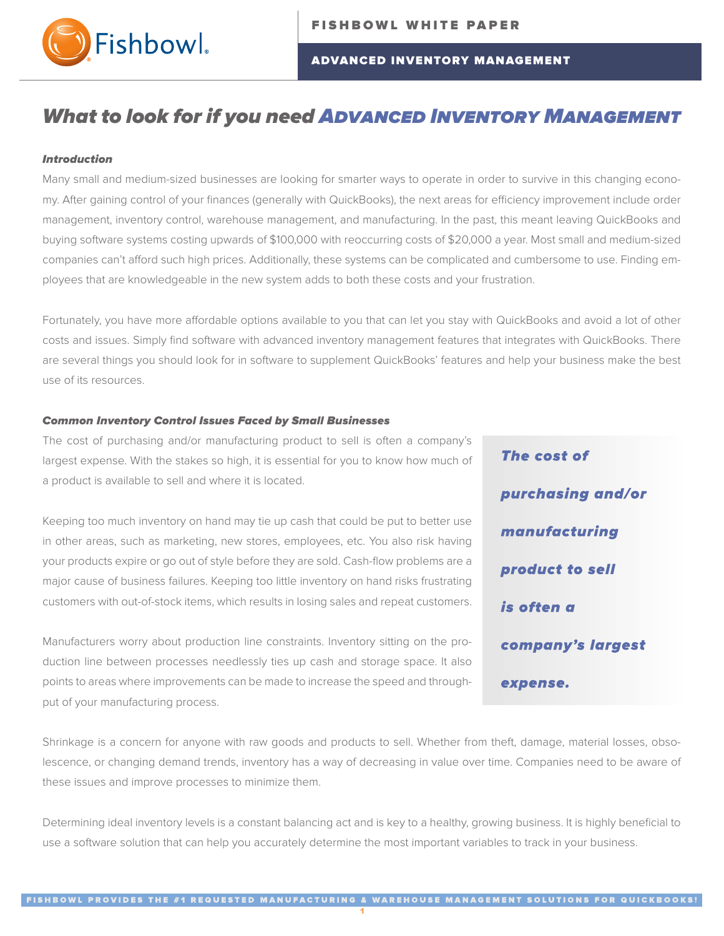

# ADVANCED INVENTORY MANAGEMENT

# What to look for if you need ADVANCED INVENTORY MANAGEMENT

# Introduction

Many small and medium-sized businesses are looking for smarter ways to operate in order to survive in this changing economy. After gaining control of your finances (generally with QuickBooks), the next areas for efficiency improvement include order management, inventory control, warehouse management, and manufacturing. In the past, this meant leaving QuickBooks and buying software systems costing upwards of \$100,000 with reoccurring costs of \$20,000 a year. Most small and medium-sized companies can't afford such high prices. Additionally, these systems can be complicated and cumbersome to use. Finding employees that are knowledgeable in the new system adds to both these costs and your frustration.

Fortunately, you have more affordable options available to you that can let you stay with QuickBooks and avoid a lot of other costs and issues. Simply find software with advanced inventory management features that integrates with QuickBooks. There are several things you should look for in software to supplement QuickBooks' features and help your business make the best use of its resources.

## Common Inventory Control Issues Faced by Small Businesses

The cost of purchasing and/or manufacturing product to sell is often a company's largest expense. With the stakes so high, it is essential for you to know how much of a product is available to sell and where it is located.

Keeping too much inventory on hand may tie up cash that could be put to better use in other areas, such as marketing, new stores, employees, etc. You also risk having your products expire or go out of style before they are sold. Cash-flow problems are a major cause of business failures. Keeping too little inventory on hand risks frustrating customers with out-of-stock items, which results in losing sales and repeat customers.

Manufacturers worry about production line constraints. Inventory sitting on the production line between processes needlessly ties up cash and storage space. It also points to areas where improvements can be made to increase the speed and throughput of your manufacturing process.

The cost of purchasing and/or manufacturing product to sell is often a company's largest expense.

Shrinkage is a concern for anyone with raw goods and products to sell. Whether from theft, damage, material losses, obsolescence, or changing demand trends, inventory has a way of decreasing in value over time. Companies need to be aware of these issues and improve processes to minimize them.

Determining ideal inventory levels is a constant balancing act and is key to a healthy, growing business. It is highly beneficial to use a software solution that can help you accurately determine the most important variables to track in your business.

1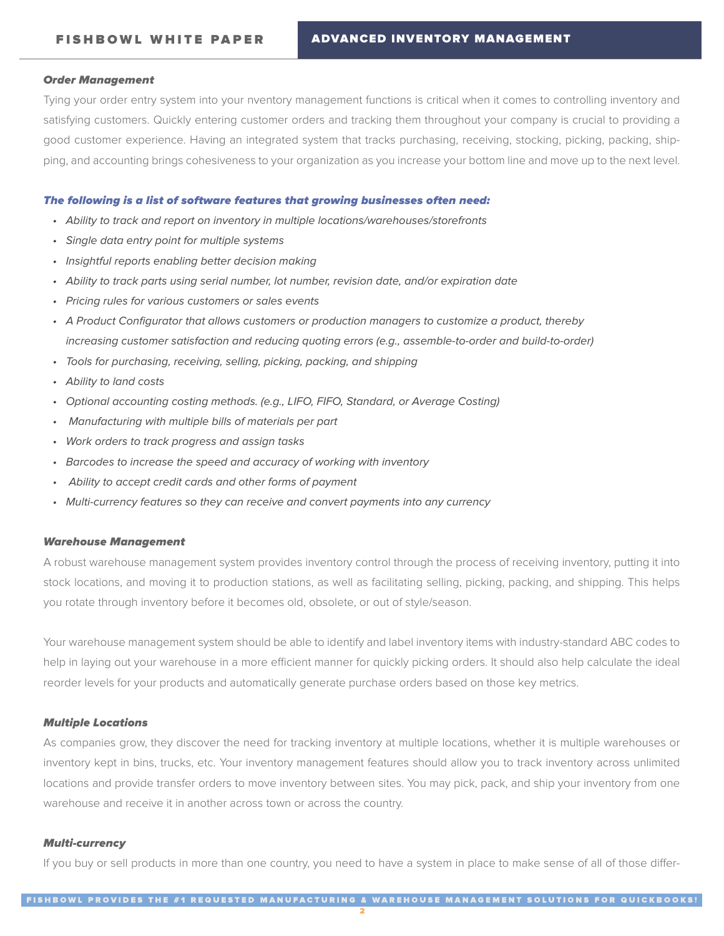## Order Management

Tying your order entry system into your nventory management functions is critical when it comes to controlling inventory and satisfying customers. Quickly entering customer orders and tracking them throughout your company is crucial to providing a good customer experience. Having an integrated system that tracks purchasing, receiving, stocking, picking, packing, shipping, and accounting brings cohesiveness to your organization as you increase your bottom line and move up to the next level.

## The following is a list of software features that growing businesses often need:

- Ability to track and report on inventory in multiple locations/warehouses/storefronts
- Single data entry point for multiple systems
- Insightful reports enabling better decision making
- Ability to track parts using serial number, lot number, revision date, and/or expiration date
- Pricing rules for various customers or sales events
- A Product Configurator that allows customers or production managers to customize a product, thereby increasing customer satisfaction and reducing quoting errors (e.g., assemble-to-order and build-to-order)
- Tools for purchasing, receiving, selling, picking, packing, and shipping
- Ability to land costs
- Optional accounting costing methods. (e.g., LIFO, FIFO, Standard, or Average Costing)
- Manufacturing with multiple bills of materials per part
- Work orders to track progress and assign tasks
- Barcodes to increase the speed and accuracy of working with inventory
- Ability to accept credit cards and other forms of payment
- Multi-currency features so they can receive and convert payments into any currency

# Warehouse Management

A robust warehouse management system provides inventory control through the process of receiving inventory, putting it into stock locations, and moving it to production stations, as well as facilitating selling, picking, packing, and shipping. This helps you rotate through inventory before it becomes old, obsolete, or out of style/season.

Your warehouse management system should be able to identify and label inventory items with industry-standard ABC codes to help in laying out your warehouse in a more efficient manner for quickly picking orders. It should also help calculate the ideal reorder levels for your products and automatically generate purchase orders based on those key metrics.

## Multiple Locations

As companies grow, they discover the need for tracking inventory at multiple locations, whether it is multiple warehouses or inventory kept in bins, trucks, etc. Your inventory management features should allow you to track inventory across unlimited locations and provide transfer orders to move inventory between sites. You may pick, pack, and ship your inventory from one warehouse and receive it in another across town or across the country.

## Multi-currency

If you buy or sell products in more than one country, you need to have a system in place to make sense of all of those differ-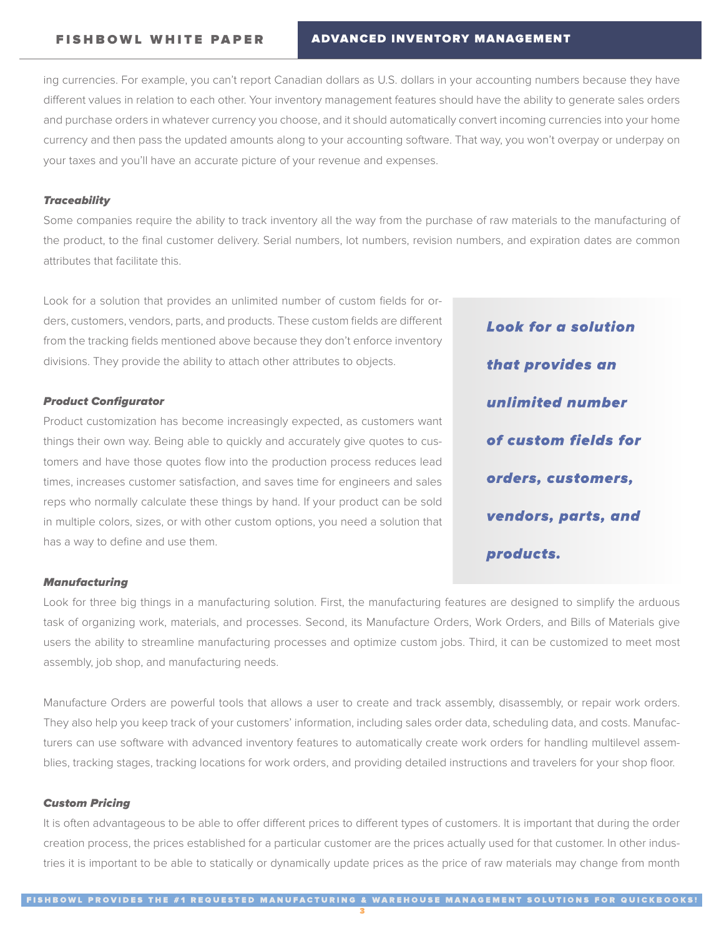# ADVANCED INVENTORY MANAGEMENT

ing currencies. For example, you can't report Canadian dollars as U.S. dollars in your accounting numbers because they have different values in relation to each other. Your inventory management features should have the ability to generate sales orders and purchase orders in whatever currency you choose, and it should automatically convert incoming currencies into your home currency and then pass the updated amounts along to your accounting software. That way, you won't overpay or underpay on your taxes and you'll have an accurate picture of your revenue and expenses.

# **Traceability**

Some companies require the ability to track inventory all the way from the purchase of raw materials to the manufacturing of the product, to the final customer delivery. Serial numbers, lot numbers, revision numbers, and expiration dates are common attributes that facilitate this.

Look for a solution that provides an unlimited number of custom fields for orders, customers, vendors, parts, and products. These custom fields are different from the tracking fields mentioned above because they don't enforce inventory divisions. They provide the ability to attach other attributes to objects.

## Product Configurator

Product customization has become increasingly expected, as customers want things their own way. Being able to quickly and accurately give quotes to customers and have those quotes flow into the production process reduces lead times, increases customer satisfaction, and saves time for engineers and sales reps who normally calculate these things by hand. If your product can be sold in multiple colors, sizes, or with other custom options, you need a solution that has a way to define and use them.

**Look for a solution** that provides an unlimited number of custom fields for orders, customers, vendors, parts, and products.

# **Manufacturing**

Look for three big things in a manufacturing solution. First, the manufacturing features are designed to simplify the arduous task of organizing work, materials, and processes. Second, its Manufacture Orders, Work Orders, and Bills of Materials give users the ability to streamline manufacturing processes and optimize custom jobs. Third, it can be customized to meet most assembly, job shop, and manufacturing needs.

Manufacture Orders are powerful tools that allows a user to create and track assembly, disassembly, or repair work orders. They also help you keep track of your customers' information, including sales order data, scheduling data, and costs. Manufacturers can use software with advanced inventory features to automatically create work orders for handling multilevel assemblies, tracking stages, tracking locations for work orders, and providing detailed instructions and travelers for your shop floor.

# Custom Pricing

It is often advantageous to be able to offer different prices to different types of customers. It is important that during the order creation process, the prices established for a particular customer are the prices actually used for that customer. In other industries it is important to be able to statically or dynamically update prices as the price of raw materials may change from month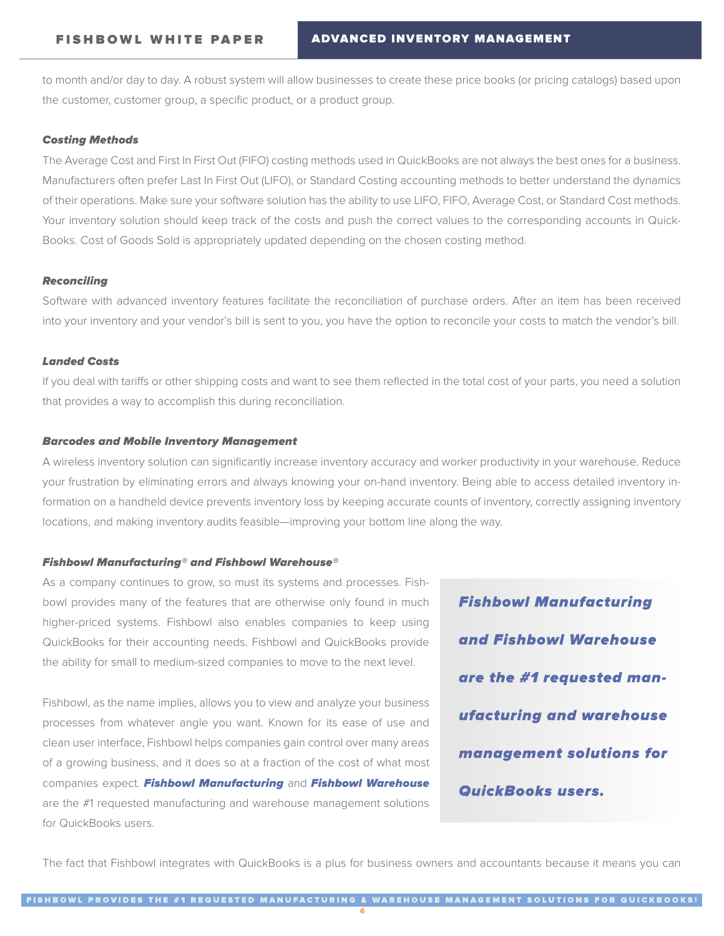to month and/or day to day. A robust system will allow businesses to create these price books (or pricing catalogs) based upon the customer, customer group, a specific product, or a product group.

### Costing Methods

The Average Cost and First In First Out (FIFO) costing methods used in QuickBooks are not always the best ones for a business. Manufacturers often prefer Last In First Out (LIFO), or Standard Costing accounting methods to better understand the dynamics of their operations. Make sure your software solution has the ability to use LIFO, FIFO, Average Cost, or Standard Cost methods. Your inventory solution should keep track of the costs and push the correct values to the corresponding accounts in Quick-Books. Cost of Goods Sold is appropriately updated depending on the chosen costing method.

## Reconciling

Software with advanced inventory features facilitate the reconciliation of purchase orders. After an item has been received into your inventory and your vendor's bill is sent to you, you have the option to reconcile your costs to match the vendor's bill.

# Landed Costs

If you deal with tariffs or other shipping costs and want to see them reflected in the total cost of your parts, you need a solution that provides a way to accomplish this during reconciliation.

## Barcodes and Mobile Inventory Management

A wireless inventory solution can significantly increase inventory accuracy and worker productivity in your warehouse. Reduce your frustration by eliminating errors and always knowing your on-hand inventory. Being able to access detailed inventory information on a handheld device prevents inventory loss by keeping accurate counts of inventory, correctly assigning inventory locations, and making inventory audits feasible—improving your bottom line along the way.

## Fishbowl Manufacturing® and Fishbowl Warehouse®

As a company continues to grow, so must its systems and processes. Fishbowl provides many of the features that are otherwise only found in much higher-priced systems. Fishbowl also enables companies to keep using QuickBooks for their accounting needs. Fishbowl and QuickBooks provide the ability for small to medium-sized companies to move to the next level.

Fishbowl, as the name implies, allows you to view and analyze your business processes from whatever angle you want. Known for its ease of use and clean user interface, Fishbowl helps companies gain control over many areas of a growing business, and it does so at a fraction of the cost of what most companies expect. Fishbowl Manufacturing and Fishbowl Warehouse are the #1 requested manufacturing and warehouse management solutions for QuickBooks users.

**Fishbowl Manufacturing** and Fishbowl Warehouse are the #1 reauested manufacturing and warehouse management solutions for QuickBooks users.

The fact that Fishbowl integrates with QuickBooks is a plus for business owners and accountants because it means you can

4